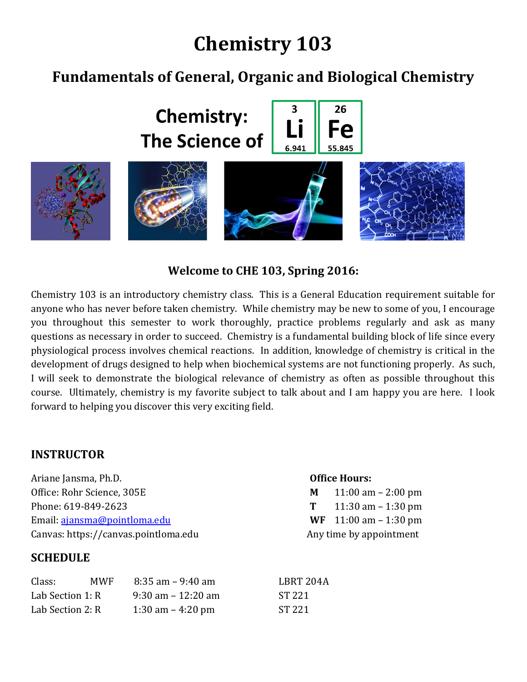# **Chemistry 103**

## **Fundamentals of General, Organic and Biological Chemistry**



**Welcome to CHE 103, Spring 2016:**

Chemistry 103 is an introductory chemistry class. This is a General Education requirement suitable for anyone who has never before taken chemistry. While chemistry may be new to some of you, I encourage you throughout this semester to work thoroughly, practice problems regularly and ask as many questions as necessary in order to succeed. Chemistry is a fundamental building block of life since every physiological process involves chemical reactions. In addition, knowledge of chemistry is critical in the development of drugs designed to help when biochemical systems are not functioning properly. As such, I will seek to demonstrate the biological relevance of chemistry as often as possible throughout this course. Ultimately, chemistry is my favorite subject to talk about and I am happy you are here. I look forward to helping you discover this very exciting field.

#### **INSTRUCTOR**

Ariane Jansma, Ph.D. **Office Hours:** Office: Rohr Science, 305E **M** 11:00 am – 2:00 pm Phone: 619-849-2623 **T** 11:30 am – 1:30 pm Email: [ajansma@pointloma.edu](mailto:ajansma@pointloma.edu) **WF** 11:00 am – 1:30 pm Canvas: https://canvas.pointloma.edu Any time by appointment

#### **SCHEDULE**

#### Class: MWF 8:35 am – 9:40 am LBRT 204A Lab Section 1: R  $9:30 \text{ am} - 12:20 \text{ am}$  ST 221 Lab Section 2: R 1:30 am – 4:20 pm ST 221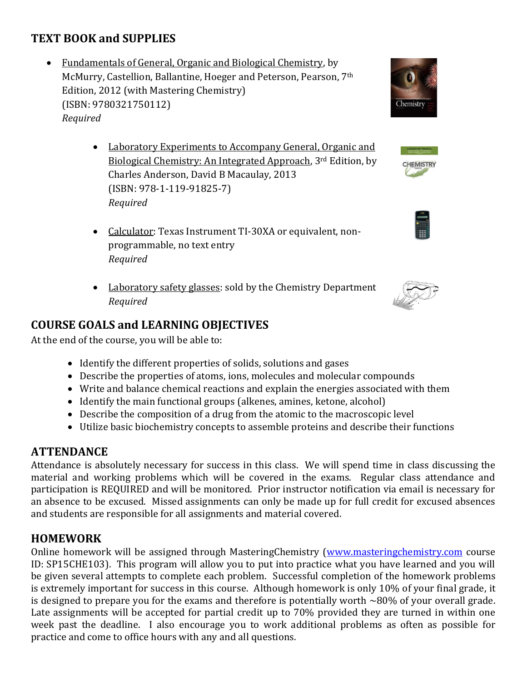## **TEXT BOOK and SUPPLIES**

- Fundamentals of General, Organic and Biological Chemistry, by McMurry, Castellion, Ballantine, Hoeger and Peterson, Pearson, 7th Edition, 2012 (with Mastering Chemistry) (ISBN: 9780321750112) *Required*
	- Laboratory Experiments to Accompany General, Organic and Biological Chemistry: An Integrated Approach, 3rd Edition, by Charles Anderson, David B Macaulay, 2013 (ISBN: 978-1-119-91825-7) *Required*
	- Calculator: Texas Instrument TI-30XA or equivalent, nonprogrammable, no text entry *Required*
	- Laboratory safety glasses: sold by the Chemistry Department *Required*

## **COURSE GOALS and LEARNING OBJECTIVES**

At the end of the course, you will be able to:

- Identify the different properties of solids, solutions and gases
- Describe the properties of atoms, ions, molecules and molecular compounds
- Write and balance chemical reactions and explain the energies associated with them
- Identify the main functional groups (alkenes, amines, ketone, alcohol)
- Describe the composition of a drug from the atomic to the macroscopic level
- Utilize basic biochemistry concepts to assemble proteins and describe their functions

## **ATTENDANCE**

Attendance is absolutely necessary for success in this class. We will spend time in class discussing the material and working problems which will be covered in the exams. Regular class attendance and participation is REQUIRED and will be monitored. Prior instructor notification via email is necessary for an absence to be excused. Missed assignments can only be made up for full credit for excused absences and students are responsible for all assignments and material covered.

## **HOMEWORK**

Online homework will be assigned through MasteringChemistry [\(www.masteringchemistry.com](http://www.masteringchemistry.com/) course ID: SP15CHE103). This program will allow you to put into practice what you have learned and you will be given several attempts to complete each problem. Successful completion of the homework problems is extremely important for success in this course. Although homework is only 10% of your final grade, it is designed to prepare you for the exams and therefore is potentially worth  $\sim 80\%$  of your overall grade. Late assignments will be accepted for partial credit up to 70% provided they are turned in within one week past the deadline. I also encourage you to work additional problems as often as possible for practice and come to office hours with any and all questions.







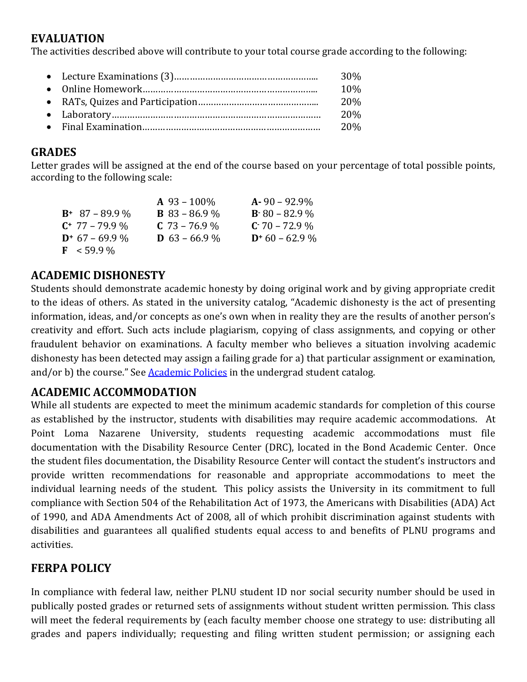## **EVALUATION**

The activities described above will contribute to your total course grade according to the following:

|  | 30%        |
|--|------------|
|  | 10%        |
|  | <b>20%</b> |
|  | 20%        |
|  | 20%        |

### **GRADES**

Letter grades will be assigned at the end of the course based on your percentage of total possible points, according to the following scale:

|                       | $A\,93-100\%$        | $A - 90 - 92.9\%$ |
|-----------------------|----------------------|-------------------|
| $B^+$ 87 – 89.9 %     | <b>B</b> 83 – 86.9 % | $B.80 - 82.9\%$   |
| $C^*$ 77 – 79.9 %     | $C$ 73 – 76.9 %      | $C - 70 - 72.9\%$ |
| $D^+$ 67 – 69.9 %     | <b>D</b> 63 – 66.9 % | $D+60-62.9\%$     |
| $\mathbf{F}$ < 59.9 % |                      |                   |

## **ACADEMIC DISHONESTY**

Students should demonstrate academic honesty by doing original work and by giving appropriate credit to the ideas of others. As stated in the university catalog, "Academic dishonesty is the act of presenting information, ideas, and/or concepts as one's own when in reality they are the results of another person's creativity and effort. Such acts include plagiarism, copying of class assignments, and copying or other fraudulent behavior on examinations. A faculty member who believes a situation involving academic dishonesty has been detected may assign a failing grade for a) that particular assignment or examination, and/or b) the course." See **[Academic Policies](http://www.pointloma.edu/experience/academics/catalogs/undergraduate-catalog/point-loma-education/academic-policies)** in the undergrad student catalog.

## **ACADEMIC ACCOMMODATION**

While all students are expected to meet the minimum academic standards for completion of this course as established by the instructor, students with disabilities may require academic accommodations. At Point Loma Nazarene University, students requesting academic accommodations must file documentation with the Disability Resource Center (DRC), located in the Bond Academic Center. Once the student files documentation, the Disability Resource Center will contact the student's instructors and provide written recommendations for reasonable and appropriate accommodations to meet the individual learning needs of the student. This policy assists the University in its commitment to full compliance with Section 504 of the Rehabilitation Act of 1973, the Americans with Disabilities (ADA) Act of 1990, and ADA Amendments Act of 2008, all of which prohibit discrimination against students with disabilities and guarantees all qualified students equal access to and benefits of PLNU programs and activities.

## **FERPA POLICY**

In compliance with federal law, neither PLNU student ID nor social security number should be used in publically posted grades or returned sets of assignments without student written permission. This class will meet the federal requirements by (each faculty member choose one strategy to use: distributing all grades and papers individually; requesting and filing written student permission; or assigning each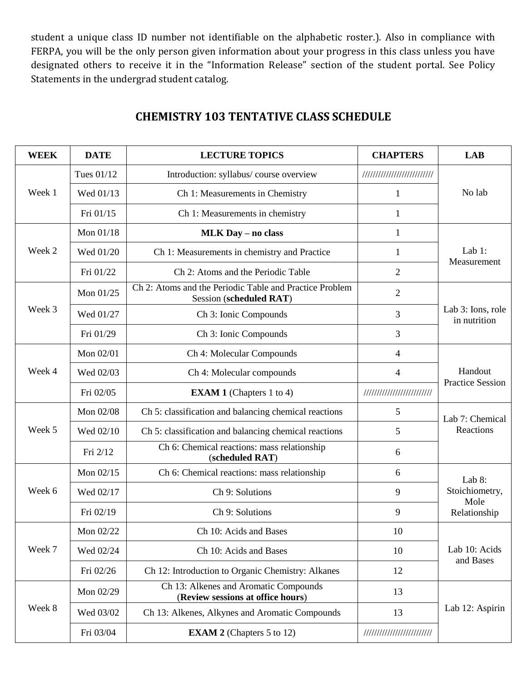student a unique class ID number not identifiable on the alphabetic roster.). Also in compliance with FERPA, you will be the only person given information about your progress in this class unless you have designated others to receive it in the "Information Release" section of the student portal. See Policy Statements in the undergrad student catalog.

| <b>WEEK</b> | <b>DATE</b> | <b>LECTURE TOPICS</b>                                                              | <b>CHAPTERS</b>             | <b>LAB</b>                         |
|-------------|-------------|------------------------------------------------------------------------------------|-----------------------------|------------------------------------|
|             | Tues 01/12  | Introduction: syllabus/ course overview                                            | /////////////////////////// | No lab                             |
| Week 1      | Wed 01/13   | Ch 1: Measurements in Chemistry                                                    | 1                           |                                    |
|             | Fri 01/15   | Ch 1: Measurements in chemistry                                                    | 1                           |                                    |
|             | Mon 01/18   | <b>MLK Day - no class</b>                                                          | $\mathbf{1}$                | Lab $1$ :<br>Measurement           |
| Week 2      | Wed 01/20   | Ch 1: Measurements in chemistry and Practice                                       | 1                           |                                    |
|             | Fri 01/22   | Ch 2: Atoms and the Periodic Table                                                 | $\overline{2}$              |                                    |
|             | Mon 01/25   | Ch 2: Atoms and the Periodic Table and Practice Problem<br>Session (scheduled RAT) | $\overline{2}$              |                                    |
| Week 3      | Wed 01/27   | Ch 3: Ionic Compounds                                                              | $\overline{3}$              | Lab 3: Ions, role<br>in nutrition  |
|             | Fri 01/29   | Ch 3: Ionic Compounds                                                              | 3                           |                                    |
|             | Mon 02/01   | Ch 4: Molecular Compounds                                                          | 4                           | Handout<br><b>Practice Session</b> |
| Week 4      | Wed 02/03   | Ch 4: Molecular compounds                                                          | $\overline{4}$              |                                    |
|             | Fri 02/05   | <b>EXAM 1</b> (Chapters 1 to 4)                                                    | //////////////////////////  |                                    |
|             | Mon 02/08   | Ch 5: classification and balancing chemical reactions                              | 5                           | Lab 7: Chemical                    |
| Week 5      | Wed 02/10   | Ch 5: classification and balancing chemical reactions                              | 5                           | Reactions                          |
|             | Fri 2/12    | Ch 6: Chemical reactions: mass relationship<br>(scheduled RAT)                     | 6                           |                                    |
|             | Mon 02/15   | Ch 6: Chemical reactions: mass relationship                                        | 6                           | Lab 8:                             |
| Week 6      | Wed 02/17   | Ch 9: Solutions                                                                    | 9                           | Stoichiometry,<br>Mole             |
|             | Fri 02/19   | Ch 9: Solutions                                                                    | 9                           | Relationship                       |
|             | Mon 02/22   | Ch 10: Acids and Bases                                                             | 10                          |                                    |
| Week 7      | Wed 02/24   | Ch 10: Acids and Bases                                                             | 10                          | Lab 10: Acids                      |
|             | Fri 02/26   | Ch 12: Introduction to Organic Chemistry: Alkanes                                  | 12                          | and Bases                          |
|             | Mon 02/29   | Ch 13: Alkenes and Aromatic Compounds<br>(Review sessions at office hours)         | 13                          | Lab 12: Aspirin                    |
| Week 8      | Wed 03/02   | Ch 13: Alkenes, Alkynes and Aromatic Compounds                                     | 13                          |                                    |
|             | Fri 03/04   | <b>EXAM 2</b> (Chapters 5 to 12)                                                   | //////////////////////////  |                                    |

### **CHEMISTRY 103 TENTATIVE CLASS SCHEDULE**